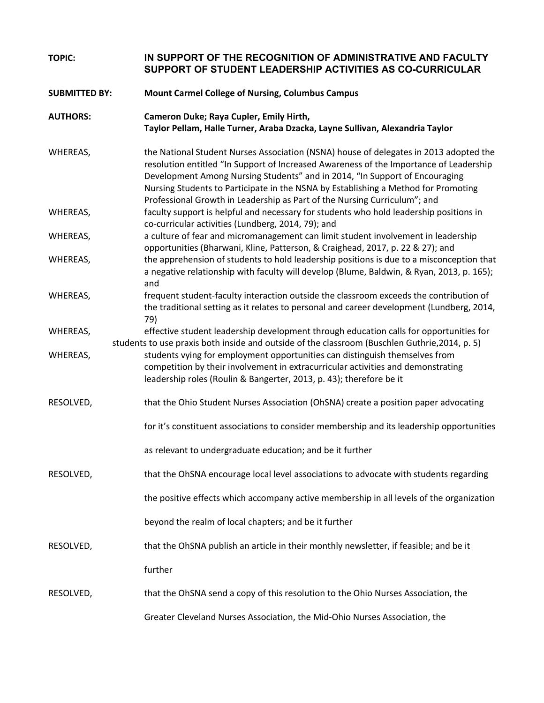| <b>TOPIC:</b>        | IN SUPPORT OF THE RECOGNITION OF ADMINISTRATIVE AND FACULTY<br>SUPPORT OF STUDENT LEADERSHIP ACTIVITIES AS CO-CURRICULAR                                                                                                                                                                                                                                                                                                          |
|----------------------|-----------------------------------------------------------------------------------------------------------------------------------------------------------------------------------------------------------------------------------------------------------------------------------------------------------------------------------------------------------------------------------------------------------------------------------|
| <b>SUBMITTED BY:</b> | <b>Mount Carmel College of Nursing, Columbus Campus</b>                                                                                                                                                                                                                                                                                                                                                                           |
| <b>AUTHORS:</b>      | Cameron Duke; Raya Cupler, Emily Hirth,<br>Taylor Pellam, Halle Turner, Araba Dzacka, Layne Sullivan, Alexandria Taylor                                                                                                                                                                                                                                                                                                           |
| WHEREAS,             | the National Student Nurses Association (NSNA) house of delegates in 2013 adopted the<br>resolution entitled "In Support of Increased Awareness of the Importance of Leadership<br>Development Among Nursing Students" and in 2014, "In Support of Encouraging<br>Nursing Students to Participate in the NSNA by Establishing a Method for Promoting<br>Professional Growth in Leadership as Part of the Nursing Curriculum"; and |
| WHEREAS,             | faculty support is helpful and necessary for students who hold leadership positions in<br>co-curricular activities (Lundberg, 2014, 79); and                                                                                                                                                                                                                                                                                      |
| WHEREAS,             | a culture of fear and micromanagement can limit student involvement in leadership<br>opportunities (Bharwani, Kline, Patterson, & Craighead, 2017, p. 22 & 27); and                                                                                                                                                                                                                                                               |
| WHEREAS,             | the apprehension of students to hold leadership positions is due to a misconception that<br>a negative relationship with faculty will develop (Blume, Baldwin, & Ryan, 2013, p. 165);<br>and                                                                                                                                                                                                                                      |
| WHEREAS,             | frequent student-faculty interaction outside the classroom exceeds the contribution of<br>the traditional setting as it relates to personal and career development (Lundberg, 2014,<br>79)                                                                                                                                                                                                                                        |
| WHEREAS,             | effective student leadership development through education calls for opportunities for<br>students to use praxis both inside and outside of the classroom (Buschlen Guthrie, 2014, p. 5)                                                                                                                                                                                                                                          |
| WHEREAS,             | students vying for employment opportunities can distinguish themselves from<br>competition by their involvement in extracurricular activities and demonstrating<br>leadership roles (Roulin & Bangerter, 2013, p. 43); therefore be it                                                                                                                                                                                            |
| RESOLVED,            | that the Ohio Student Nurses Association (OhSNA) create a position paper advocating                                                                                                                                                                                                                                                                                                                                               |
|                      | for it's constituent associations to consider membership and its leadership opportunities                                                                                                                                                                                                                                                                                                                                         |
|                      | as relevant to undergraduate education; and be it further                                                                                                                                                                                                                                                                                                                                                                         |
| RESOLVED,            | that the OhSNA encourage local level associations to advocate with students regarding                                                                                                                                                                                                                                                                                                                                             |
|                      | the positive effects which accompany active membership in all levels of the organization                                                                                                                                                                                                                                                                                                                                          |
|                      | beyond the realm of local chapters; and be it further                                                                                                                                                                                                                                                                                                                                                                             |
| RESOLVED,            | that the OhSNA publish an article in their monthly newsletter, if feasible; and be it                                                                                                                                                                                                                                                                                                                                             |
|                      | further                                                                                                                                                                                                                                                                                                                                                                                                                           |
| RESOLVED,            | that the OhSNA send a copy of this resolution to the Ohio Nurses Association, the                                                                                                                                                                                                                                                                                                                                                 |
|                      | Greater Cleveland Nurses Association, the Mid-Ohio Nurses Association, the                                                                                                                                                                                                                                                                                                                                                        |